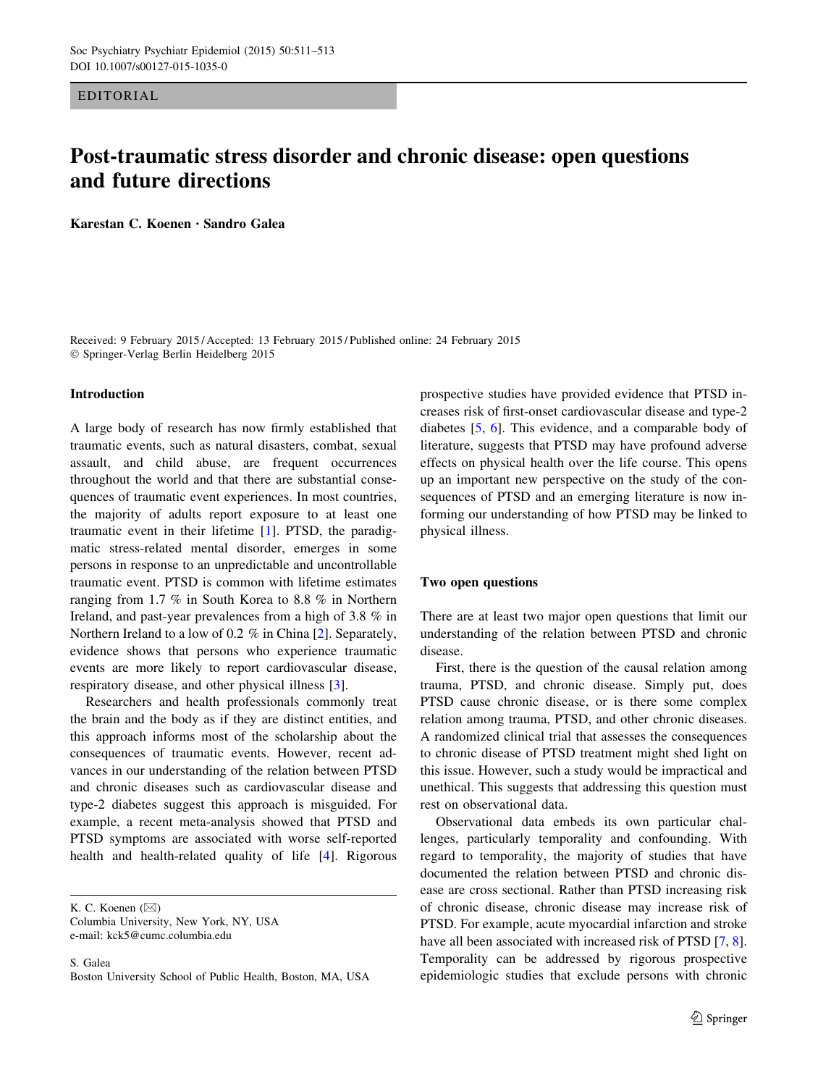EDITORIAL

# Post-traumatic stress disorder and chronic disease: open questions and future directions

Karestan C. Koenen • Sandro Galea

Received: 9 February 2015 / Accepted: 13 February 2015 / Published online: 24 February 2015 - Springer-Verlag Berlin Heidelberg 2015

#### Introduction

A large body of research has now firmly established that traumatic events, such as natural disasters, combat, sexual assault, and child abuse, are frequent occurrences throughout the world and that there are substantial consequences of traumatic event experiences. In most countries, the majority of adults report exposure to at least one traumatic event in their lifetime [[1\]](#page-1-0). PTSD, the paradigmatic stress-related mental disorder, emerges in some persons in response to an unpredictable and uncontrollable traumatic event. PTSD is common with lifetime estimates ranging from 1.7 % in South Korea to 8.8 % in Northern Ireland, and past-year prevalences from a high of 3.8 % in Northern Ireland to a low of 0.2 % in China [\[2](#page-1-0)]. Separately, evidence shows that persons who experience traumatic events are more likely to report cardiovascular disease, respiratory disease, and other physical illness [\[3](#page-2-0)].

Researchers and health professionals commonly treat the brain and the body as if they are distinct entities, and this approach informs most of the scholarship about the consequences of traumatic events. However, recent advances in our understanding of the relation between PTSD and chronic diseases such as cardiovascular disease and type-2 diabetes suggest this approach is misguided. For example, a recent meta-analysis showed that PTSD and PTSD symptoms are associated with worse self-reported health and health-related quality of life [[4](#page-2-0)]. Rigorous

K. C. Koenen  $(\boxtimes)$ 

Columbia University, New York, NY, USA e-mail: kck5@cumc.columbia.edu

S. Galea Boston University School of Public Health, Boston, MA, USA prospective studies have provided evidence that PTSD increases risk of first-onset cardiovascular disease and type-2 diabetes [\[5](#page-2-0), [6](#page-2-0)]. This evidence, and a comparable body of literature, suggests that PTSD may have profound adverse effects on physical health over the life course. This opens up an important new perspective on the study of the consequences of PTSD and an emerging literature is now informing our understanding of how PTSD may be linked to physical illness.

## Two open questions

There are at least two major open questions that limit our understanding of the relation between PTSD and chronic disease.

First, there is the question of the causal relation among trauma, PTSD, and chronic disease. Simply put, does PTSD cause chronic disease, or is there some complex relation among trauma, PTSD, and other chronic diseases. A randomized clinical trial that assesses the consequences to chronic disease of PTSD treatment might shed light on this issue. However, such a study would be impractical and unethical. This suggests that addressing this question must rest on observational data.

Observational data embeds its own particular challenges, particularly temporality and confounding. With regard to temporality, the majority of studies that have documented the relation between PTSD and chronic disease are cross sectional. Rather than PTSD increasing risk of chronic disease, chronic disease may increase risk of PTSD. For example, acute myocardial infarction and stroke have all been associated with increased risk of PTSD [[7,](#page-2-0) [8](#page-2-0)]. Temporality can be addressed by rigorous prospective epidemiologic studies that exclude persons with chronic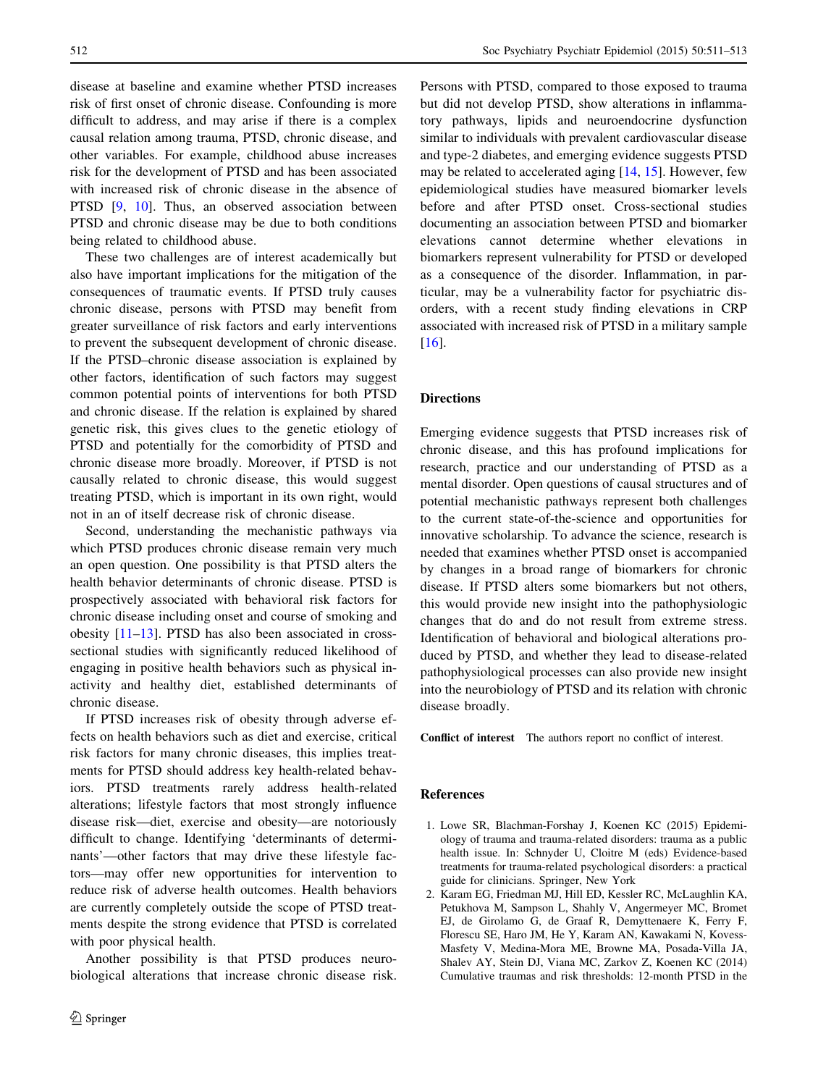<span id="page-1-0"></span>disease at baseline and examine whether PTSD increases risk of first onset of chronic disease. Confounding is more difficult to address, and may arise if there is a complex causal relation among trauma, PTSD, chronic disease, and other variables. For example, childhood abuse increases risk for the development of PTSD and has been associated with increased risk of chronic disease in the absence of PTSD [[9,](#page-2-0) [10\]](#page-2-0). Thus, an observed association between PTSD and chronic disease may be due to both conditions being related to childhood abuse.

These two challenges are of interest academically but also have important implications for the mitigation of the consequences of traumatic events. If PTSD truly causes chronic disease, persons with PTSD may benefit from greater surveillance of risk factors and early interventions to prevent the subsequent development of chronic disease. If the PTSD–chronic disease association is explained by other factors, identification of such factors may suggest common potential points of interventions for both PTSD and chronic disease. If the relation is explained by shared genetic risk, this gives clues to the genetic etiology of PTSD and potentially for the comorbidity of PTSD and chronic disease more broadly. Moreover, if PTSD is not causally related to chronic disease, this would suggest treating PTSD, which is important in its own right, would not in an of itself decrease risk of chronic disease.

Second, understanding the mechanistic pathways via which PTSD produces chronic disease remain very much an open question. One possibility is that PTSD alters the health behavior determinants of chronic disease. PTSD is prospectively associated with behavioral risk factors for chronic disease including onset and course of smoking and obesity [[11–13\]](#page-2-0). PTSD has also been associated in crosssectional studies with significantly reduced likelihood of engaging in positive health behaviors such as physical inactivity and healthy diet, established determinants of chronic disease.

If PTSD increases risk of obesity through adverse effects on health behaviors such as diet and exercise, critical risk factors for many chronic diseases, this implies treatments for PTSD should address key health-related behaviors. PTSD treatments rarely address health-related alterations; lifestyle factors that most strongly influence disease risk—diet, exercise and obesity—are notoriously difficult to change. Identifying 'determinants of determinants'—other factors that may drive these lifestyle factors—may offer new opportunities for intervention to reduce risk of adverse health outcomes. Health behaviors are currently completely outside the scope of PTSD treatments despite the strong evidence that PTSD is correlated with poor physical health.

Another possibility is that PTSD produces neurobiological alterations that increase chronic disease risk. Persons with PTSD, compared to those exposed to trauma but did not develop PTSD, show alterations in inflammatory pathways, lipids and neuroendocrine dysfunction similar to individuals with prevalent cardiovascular disease and type-2 diabetes, and emerging evidence suggests PTSD may be related to accelerated aging [\[14](#page-2-0), [15](#page-2-0)]. However, few epidemiological studies have measured biomarker levels before and after PTSD onset. Cross-sectional studies documenting an association between PTSD and biomarker elevations cannot determine whether elevations in biomarkers represent vulnerability for PTSD or developed as a consequence of the disorder. Inflammation, in particular, may be a vulnerability factor for psychiatric disorders, with a recent study finding elevations in CRP associated with increased risk of PTSD in a military sample [\[16](#page-2-0)].

### Directions

Emerging evidence suggests that PTSD increases risk of chronic disease, and this has profound implications for research, practice and our understanding of PTSD as a mental disorder. Open questions of causal structures and of potential mechanistic pathways represent both challenges to the current state-of-the-science and opportunities for innovative scholarship. To advance the science, research is needed that examines whether PTSD onset is accompanied by changes in a broad range of biomarkers for chronic disease. If PTSD alters some biomarkers but not others, this would provide new insight into the pathophysiologic changes that do and do not result from extreme stress. Identification of behavioral and biological alterations produced by PTSD, and whether they lead to disease-related pathophysiological processes can also provide new insight into the neurobiology of PTSD and its relation with chronic disease broadly.

Conflict of interest The authors report no conflict of interest.

#### References

- 1. Lowe SR, Blachman-Forshay J, Koenen KC (2015) Epidemiology of trauma and trauma-related disorders: trauma as a public health issue. In: Schnyder U, Cloitre M (eds) Evidence-based treatments for trauma-related psychological disorders: a practical guide for clinicians. Springer, New York
- 2. Karam EG, Friedman MJ, Hill ED, Kessler RC, McLaughlin KA, Petukhova M, Sampson L, Shahly V, Angermeyer MC, Bromet EJ, de Girolamo G, de Graaf R, Demyttenaere K, Ferry F, Florescu SE, Haro JM, He Y, Karam AN, Kawakami N, Kovess-Masfety V, Medina-Mora ME, Browne MA, Posada-Villa JA, Shalev AY, Stein DJ, Viana MC, Zarkov Z, Koenen KC (2014) Cumulative traumas and risk thresholds: 12-month PTSD in the